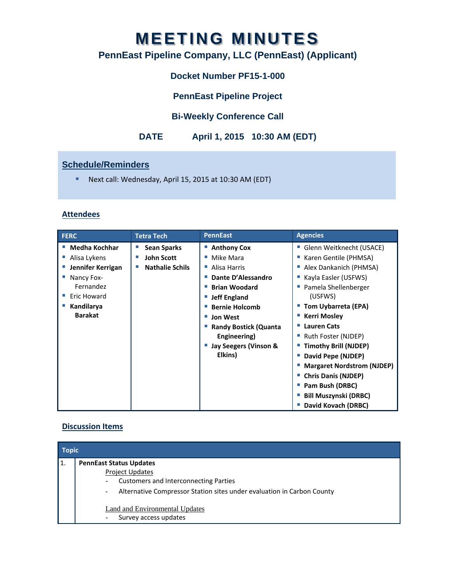# **MEETING MINUTES**

# **PennEast Pipeline Company, LLC (PennEast) (Applicant)**

# **Docket Number PF15-1-000**

**PennEast Pipeline Project** 

## **Bi-Weekly Conference Call**

# **DATE April 1, 2015 10:30 AM (EDT)**

## **Schedule/Reminders**

■ Next call: Wednesday, April 15, 2015 at 10:30 AM (EDT)

#### **Attendees**

| <b>FERC</b>       | <b>Tetra Tech</b>      | <b>PennEast</b>              | <b>Agencies</b>                   |
|-------------------|------------------------|------------------------------|-----------------------------------|
| Medha Kochhar     | <b>Sean Sparks</b>     | ■ Anthony Cox                | Glenn Weitknecht (USACE)          |
| Alisa Lykens      | <b>John Scott</b>      | Mike Mara                    | Karen Gentile (PHMSA)             |
| Jennifer Kerrigan | <b>Nathalie Schils</b> | Alisa Harris<br>×.           | Alex Dankanich (PHMSA)            |
| Nancy Fox-        |                        | Dante D'Alessandro           | Kayla Easler (USFWS)              |
| Fernandez         |                        | <b>Brian Woodard</b>         | Pamela Shellenberger              |
| Eric Howard       |                        | <b>Jeff England</b>          | (USFWS)                           |
| Kandilarya        |                        | <b>Bernie Holcomb</b>        | Tom Uybarreta (EPA)               |
| <b>Barakat</b>    |                        | <b>Jon West</b><br>ш         | <b>Kerri Mosley</b>               |
|                   |                        | <b>Randy Bostick (Quanta</b> | <b>Lauren Cats</b>                |
|                   |                        | Engineering)                 | Ruth Foster (NJDEP)               |
|                   |                        | Jay Seegers (Vinson &        | <b>Timothy Brill (NJDEP)</b>      |
|                   |                        | Elkins)                      | David Pepe (NJDEP)                |
|                   |                        |                              | <b>Margaret Nordstrom (NJDEP)</b> |
|                   |                        |                              | <b>Chris Danis (NJDEP)</b>        |
|                   |                        |                              | Pam Bush (DRBC)                   |
|                   |                        |                              | <b>Bill Muszynski (DRBC)</b>      |
|                   |                        |                              | David Kovach (DRBC)               |

#### **Discussion Items**

| <b>Topic</b> |                                                                                                                                                                                                                                                                                                                                |  |  |
|--------------|--------------------------------------------------------------------------------------------------------------------------------------------------------------------------------------------------------------------------------------------------------------------------------------------------------------------------------|--|--|
| 1.           | <b>PennEast Status Updates</b><br><b>Project Updates</b><br><b>Customers and Interconnecting Parties</b><br>$\overline{\phantom{a}}$<br>Alternative Compressor Station sites under evaluation in Carbon County<br>$\overline{\phantom{a}}$<br><b>Land and Environmental Updates</b><br>Survey access updates<br>$\blacksquare$ |  |  |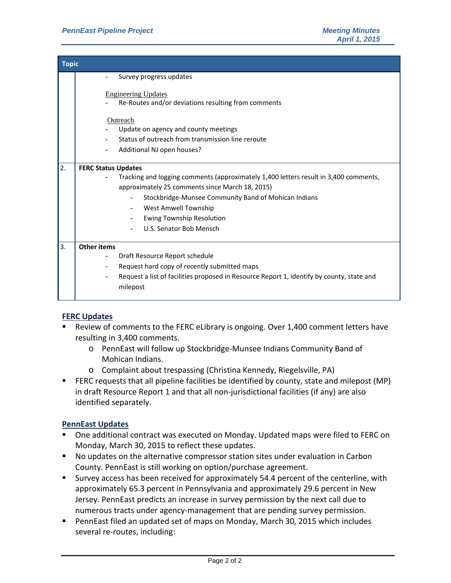| <b>Topic</b> |                                                                                           |  |  |  |
|--------------|-------------------------------------------------------------------------------------------|--|--|--|
|              | Survey progress updates                                                                   |  |  |  |
|              | <b>Engineering Updates</b>                                                                |  |  |  |
|              | Re-Routes and/or deviations resulting from comments                                       |  |  |  |
|              | Outreach                                                                                  |  |  |  |
|              | Update on agency and county meetings                                                      |  |  |  |
|              | Status of outreach from transmission line reroute                                         |  |  |  |
|              | Additional NJ open houses?                                                                |  |  |  |
| 2.           | <b>FERC Status Updates</b>                                                                |  |  |  |
|              | Tracking and logging comments (approximately 1,400 letters result in 3,400 comments,      |  |  |  |
|              | approximately 25 comments since March 18, 2015)                                           |  |  |  |
|              | Stockbridge-Munsee Community Band of Mohican Indians                                      |  |  |  |
|              | West Amwell Township                                                                      |  |  |  |
|              | <b>Ewing Township Resolution</b>                                                          |  |  |  |
|              | U.S. Senator Bob Mensch                                                                   |  |  |  |
| 3.           | <b>Other items</b>                                                                        |  |  |  |
|              | Draft Resource Report schedule                                                            |  |  |  |
|              | Request hard copy of recently submitted maps                                              |  |  |  |
|              | Request a list of facilities proposed in Resource Report 1, identify by county, state and |  |  |  |
|              | milepost                                                                                  |  |  |  |
|              |                                                                                           |  |  |  |

#### **FERC Updates**

- Review of comments to the FERC eLibrary is ongoing. Over 1,400 comment letters have resulting in 3,400 comments.
	- o PennEast will follow up Stockbridge‐Munsee Indians Community Band of Mohican Indians.
	- o Complaint about trespassing (Christina Kennedy, Riegelsville, PA)
- FERC requests that all pipeline facilities be identified by county, state and milepost (MP) in draft Resource Report 1 and that all non‐jurisdictional facilities (if any) are also identified separately.

#### **PennEast Updates**

- One additional contract was executed on Monday. Updated maps were filed to FERC on Monday, March 30, 2015 to reflect these updates.
- No updates on the alternative compressor station sites under evaluation in Carbon County. PennEast is still working on option/purchase agreement.
- Survey access has been received for approximately 54.4 percent of the centerline, with approximately 65.3 percent in Pennsylvania and approximately 29.6 percent in New Jersey. PennEast predicts an increase in survey permission by the next call due to numerous tracts under agency‐management that are pending survey permission.
- PennEast filed an updated set of maps on Monday, March 30, 2015 which includes several re‐routes, including: